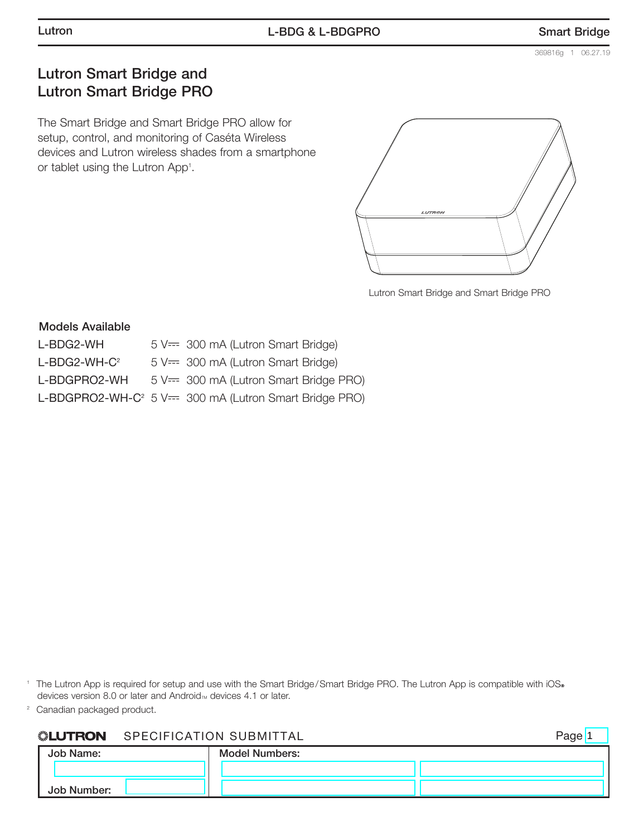Page<sup>1</sup>

# Lutron Smart Bridge and Lutron Smart Bridge PRO

The Smart Bridge and Smart Bridge PRO allow for setup, control, and monitoring of Caséta Wireless devices and Lutron wireless shades from a smartphone or tablet using the Lutron App<sup>1</sup>.



Lutron Smart Bridge and Smart Bridge PRO

#### Models Available

| 5 V== 300 mA (Lutron Smart Bridge)                                 |
|--------------------------------------------------------------------|
| 5 V== 300 mA (Lutron Smart Bridge)                                 |
| 5 V== 300 mA (Lutron Smart Bridge PRO)                             |
| L-BDGPRO2-WH-C <sup>2</sup> 5 V== 300 mA (Lutron Smart Bridge PRO) |
|                                                                    |

<sup>1</sup> The Lutron App is required for setup and use with the Smart Bridge/Smart Bridge PRO. The Lutron App is compatible with iOS® devices version 8.0 or later and Android<sub>M</sub> devices 4.1 or later.

<sup>2</sup> Canadian packaged product.

#### **ELUTRON** SPECIFICATION SUBMITTAL

|             |                       | ~ |
|-------------|-----------------------|---|
| Job Name:   | <b>Model Numbers:</b> |   |
|             |                       |   |
| Job Number: |                       |   |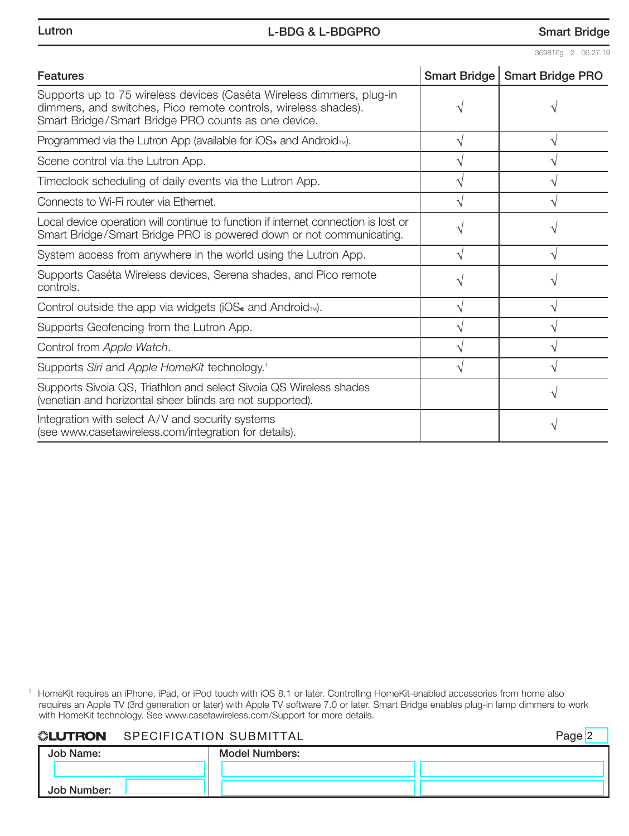| <b>Features</b>                                                                                                                                                                               |   | Smart Bridge   Smart Bridge PRO |
|-----------------------------------------------------------------------------------------------------------------------------------------------------------------------------------------------|---|---------------------------------|
| Supports up to 75 wireless devices (Caséta Wireless dimmers, plug-in<br>dimmers, and switches, Pico remote controls, wireless shades).<br>Smart Bridge/Smart Bridge PRO counts as one device. |   |                                 |
| Programmed via the Lutron App (available for $\text{IOS}_{\circ}$ and Android <sub>TM</sub> ).                                                                                                | V |                                 |
| Scene control via the Lutron App.                                                                                                                                                             |   |                                 |
| Timeclock scheduling of daily events via the Lutron App.                                                                                                                                      |   |                                 |
| Connects to Wi-Fi router via Ethernet.                                                                                                                                                        |   |                                 |
| Local device operation will continue to function if internet connection is lost or<br>Smart Bridge/Smart Bridge PRO is powered down or not communicating.                                     |   |                                 |
| System access from anywhere in the world using the Lutron App.                                                                                                                                | V |                                 |
| Supports Caséta Wireless devices, Serena shades, and Pico remote<br>controls.                                                                                                                 |   |                                 |
| Control outside the app via widgets (iOS® and Android <sub>™</sub> ).                                                                                                                         | ٦ |                                 |
| Supports Geofencing from the Lutron App.                                                                                                                                                      | ٦ |                                 |
| Control from Apple Watch.                                                                                                                                                                     | V |                                 |
| Supports Siri and Apple HomeKit technology. <sup>1</sup>                                                                                                                                      |   |                                 |
| Supports Sivoia QS, Triathlon and select Sivoia QS Wireless shades<br>(venetian and horizontal sheer blinds are not supported).                                                               |   |                                 |
| Integration with select A/V and security systems<br>(see www.casetawireless.com/integration for details).                                                                                     |   |                                 |

<sup>1</sup> HomeKit requires an iPhone, iPad, or iPod touch with iOS 8.1 or later. Controlling HomeKit-enabled accessories from home also requires an Apple TV (3rd generation or later) with Apple TV software 7.0 or later. Smart Bridge enables plug-in lamp dimmers to work with HomeKit technology. See www.casetawireless.com/Support for more details.

## **WELUTRON** SPECIFICATION SUBMITTAL

Page<sup>2</sup>

| Job Name:   | <b>Model Numbers:</b> |  |
|-------------|-----------------------|--|
|             |                       |  |
| Job Number: |                       |  |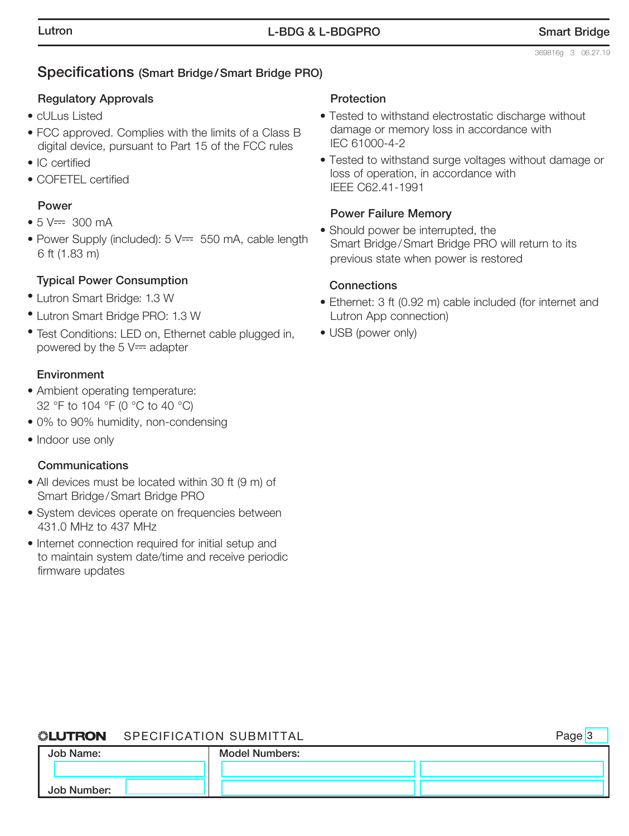# Specifications (Smart Bridge/Smart Bridge PRO)

## Regulatory Approvals

- cULus Listed
- FCC approved. Complies with the limits of a Class B digital device, pursuant to Part 15 of the FCC rules
- IC certified
- COFETEL certified

# Power

- $5 V = 300 mA$
- Power Supply (included): 5 V== 550 mA, cable length 6 ft (1.83 m)

## Typical Power Consumption

- Lutron Smart Bridge: 1.3 W
- Lutron Smart Bridge PRO: 1.3 W
- Test Conditions: LED on, Ethernet cable plugged in, powered by the  $5 \vee =$  adapter

### Environment

- Ambient operating temperature: 32 °F to 104 °F (0 °C to 40 °C)
- 0% to 90% humidity, non-condensing
- Indoor use only

### **Communications**

- All devices must be located within 30 ft (9 m) of Smart Bridge/Smart Bridge PRO
- System devices operate on frequencies between 431.0 MHz to 437 MHz
- Internet connection required for initial setup and to maintain system date/time and receive periodic firmware updates

#### **Protection**

- Tested to withstand electrostatic discharge without damage or memory loss in accordance with IEC 61000-4-2
- Tested to withstand surge voltages without damage or loss of operation, in accordance with IEEE C62.41-1991

### Power Failure Memory

• Should power be interrupted, the Smart Bridge/Smart Bridge PRO will return to its previous state when power is restored

### **Connections**

- Ethernet: 3 ft (0.92 m) cable included (for internet and Lutron App connection)
- USB (power only)

## **SLUTRON** SPECIFICATION SUBMITTAL

Page<sup>3</sup>

| Job Name:   | <b>Model Numbers:</b> |  |
|-------------|-----------------------|--|
|             |                       |  |
| Job Number: |                       |  |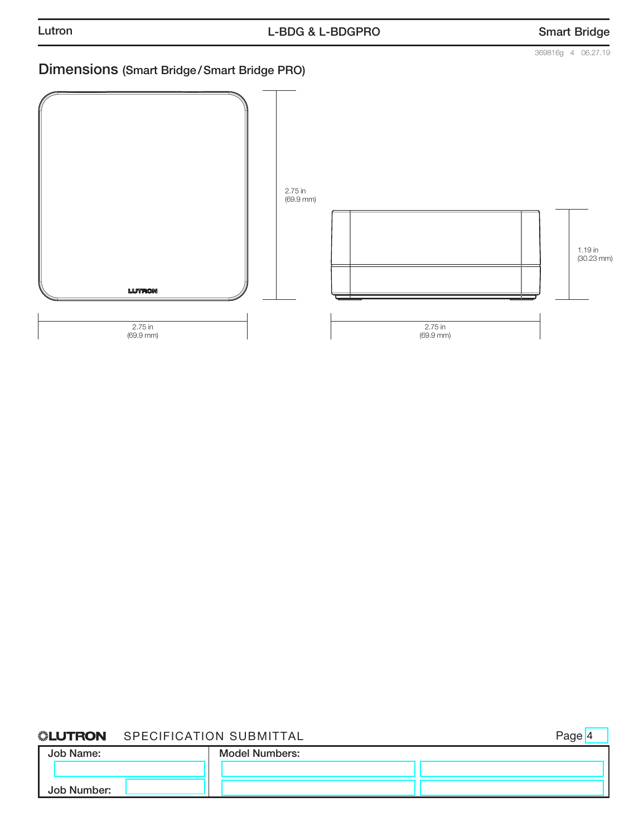369816g 4 06.27.19

# Dimensions (Smart Bridge/Smart Bridge PRO)



## **WELUTRON** SPECIFICATION SUBMITTAL

Page 4

| <b>Job Name:</b> | <b>Model Numbers:</b> |  |
|------------------|-----------------------|--|
|                  |                       |  |
| Job Number:      |                       |  |